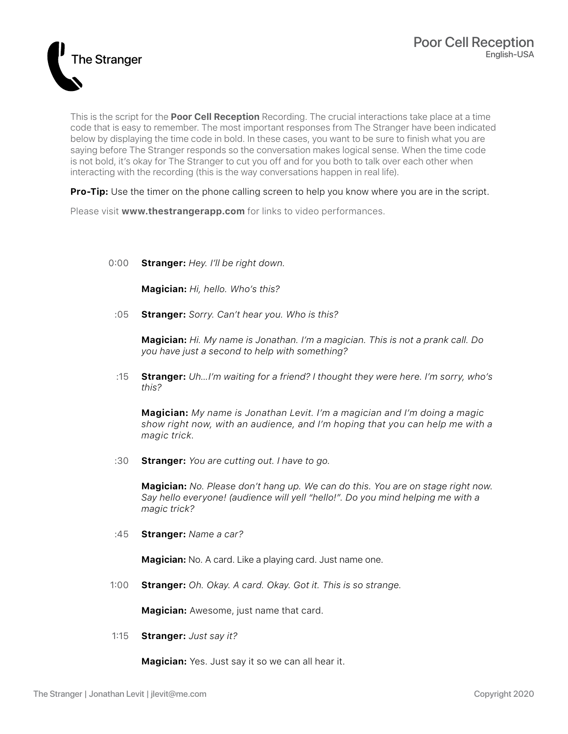

This is the script for the **Poor Cell Reception** Recording. The crucial interactions take place at a time code that is easy to remember. The most important responses from The Stranger have been indicated below by displaying the time code in bold. In these cases, you want to be sure to finish what you are saying before The Stranger responds so the conversation makes logical sense. When the time code is not bold, it's okay for The Stranger to cut you off and for you both to talk over each other when interacting with the recording (this is the way conversations happen in real life).

**Pro-Tip:** Use the timer on the phone calling screen to help you know where you are in the script.

Please visit **www.thestrangerapp.com** for links to video performances.

0:00 **Stranger:** *Hey. I'll be right down.*

**Magician:** *Hi, hello. Who's this?*

:05 **Stranger:** *Sorry. Can't hear you. Who is this?*

**Magician:** *Hi. My name is Jonathan. I'm a magician. This is not a prank call. Do you have just a second to help with something?*

:15 **Stranger:** *Uh…I'm waiting for a friend? I thought they were here. I'm sorry, who's this?*

**Magician:** *My name is Jonathan Levit. I'm a magician and I'm doing a magic show right now, with an audience, and I'm hoping that you can help me with a magic trick.*

:30 **Stranger:** *You are cutting out. I have to go.*

**Magician:** *No. Please don't hang up. We can do this. You are on stage right now. Say hello everyone! (audience will yell "hello!". Do you mind helping me with a magic trick?* 

:45 **Stranger:** *Name a car?*

**Magician:** No. A card. Like a playing card. Just name one.

1:00 **Stranger:** *Oh. Okay. A card. Okay. Got it. This is so strange.*

**Magician:** Awesome, just name that card.

1:15 **Stranger:** *Just say it?*

**Magician:** Yes. Just say it so we can all hear it.